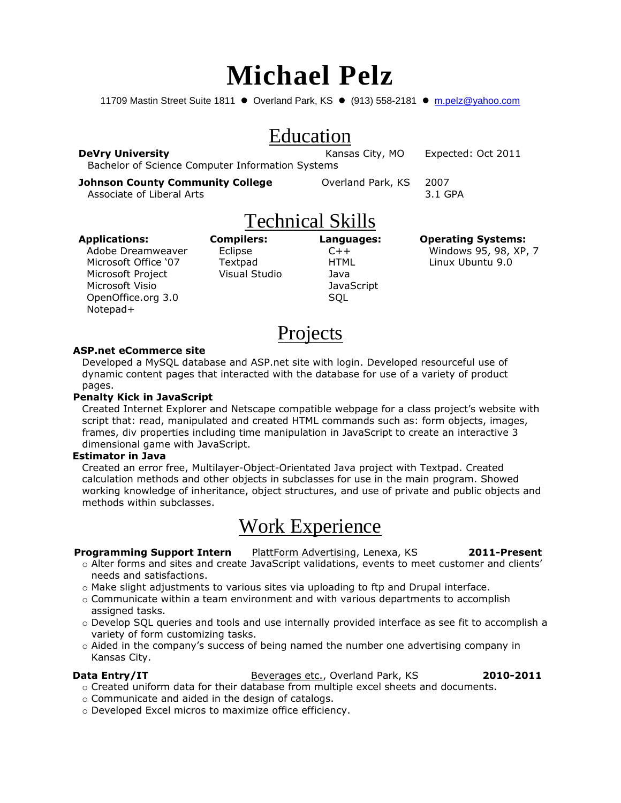# **Michael Pelz**

11709 Mastin Street Suite 1811 . Overland Park, KS . (913) 558-2181 . m.pelz@yahoo.com

# Education

**DeVry University Expected: Oct 2011 Kansas City, MO Expected: Oct 2011** Bachelor of Science Computer Information Systems

**Johnson County Community College** 

Overland Park, KS 2007

**Languages:**  $C++$ 

3.1 GPA

Associate of Liberal Arts

# Technical Skills

**Applications:**

Adobe Dreamweaver Microsoft Office '07 Microsoft Project Microsoft Visio OpenOffice.org 3.0 Notepad+

**Textpad** Visual Studio

#### **HTML** Java **JavaScript** SQL

**Operating Systems:**

Windows 95, 98, XP, 7 Linux Ubuntu 9.0

# Projects

#### **ASP.net eCommerce site**

Developed a MySQL database and ASP.net site with login. Developed resourceful use of dynamic content pages that interacted with the database for use of a variety of product pages.

#### **Penalty Kick in JavaScript**

Created Internet Explorer and Netscape compatible webpage for a class project's website with script that: read, manipulated and created HTML commands such as: form objects, images, frames, div properties including time manipulation in JavaScript to create an interactive 3 dimensional game with JavaScript.

### **Estimator in Java**

Created an error free, Multilayer-Object-Orientated Java project with Textpad. Created calculation methods and other objects in subclasses for use in the main program. Showed working knowledge of inheritance, object structures, and use of private and public objects and methods within subclasses.

# Work Experience

### **Programming Support Intern** PlattForm Advertising, Lenexa, KS **2011-Present**

- o Alter forms and sites and create JavaScript validations, events to meet customer and clients' needs and satisfactions.
- o Make slight adjustments to various sites via uploading to ftp and Drupal interface.
- $\circ$  Communicate within a team environment and with various departments to accomplish assigned tasks.
- o Develop SQL queries and tools and use internally provided interface as see fit to accomplish a variety of form customizing tasks.
- o Aided in the company's success of being named the number one advertising company in Kansas City.

### **Data Entry/IT** Beverages etc., Overland Park, KS **2010-2011**

- $\circ$  Created uniform data for their database from multiple excel sheets and documents.
- o Communicate and aided in the design of catalogs.
- o Developed Excel micros to maximize office efficiency.

## **Compilers:** Eclipse